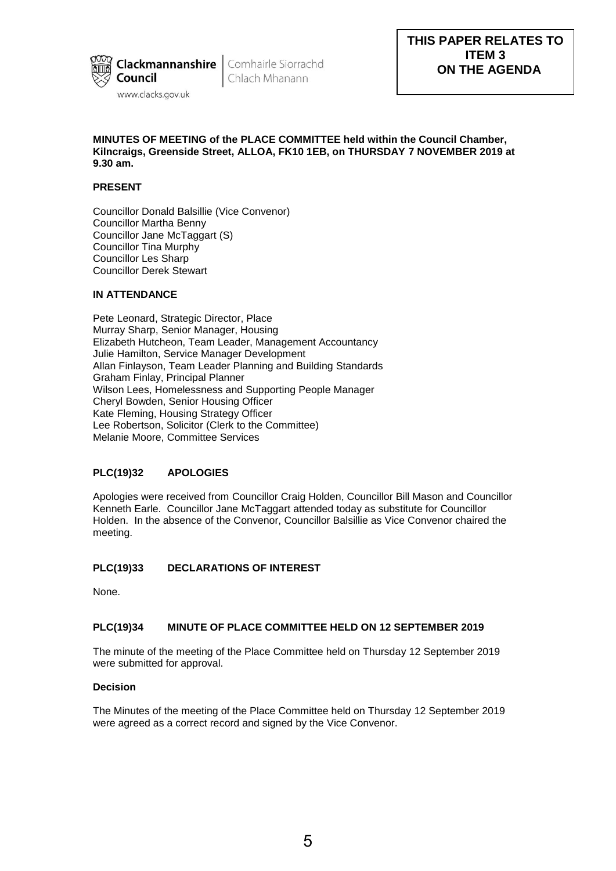

Chlach Mhanann

## **MINUTES OF MEETING of the PLACE COMMITTEE held within the Council Chamber, Kilncraigs, Greenside Street, ALLOA, FK10 1EB, on THURSDAY 7 NOVEMBER 2019 at 9.30 am.**

## **PRESENT**

Councillor Donald Balsillie (Vice Convenor) Councillor Martha Benny Councillor Jane McTaggart (S) Councillor Tina Murphy Councillor Les Sharp Councillor Derek Stewart

# **IN ATTENDANCE**

Pete Leonard, Strategic Director, Place Murray Sharp, Senior Manager, Housing Elizabeth Hutcheon, Team Leader, Management Accountancy Julie Hamilton, Service Manager Development Allan Finlayson, Team Leader Planning and Building Standards Graham Finlay, Principal Planner Wilson Lees, Homelessness and Supporting People Manager Cheryl Bowden, Senior Housing Officer Kate Fleming, Housing Strategy Officer Lee Robertson, Solicitor (Clerk to the Committee) Melanie Moore, Committee Services

## **PLC(19)32 APOLOGIES**

Apologies were received from Councillor Craig Holden, Councillor Bill Mason and Councillor Kenneth Earle. Councillor Jane McTaggart attended today as substitute for Councillor Holden. In the absence of the Convenor, Councillor Balsillie as Vice Convenor chaired the meeting.

## **PLC(19)33 DECLARATIONS OF INTEREST**

None.

## **PLC(19)34 MINUTE OF PLACE COMMITTEE HELD ON 12 SEPTEMBER 2019**

The minute of the meeting of the Place Committee held on Thursday 12 September 2019 were submitted for approval.

## **Decision**

The Minutes of the meeting of the Place Committee held on Thursday 12 September 2019 were agreed as a correct record and signed by the Vice Convenor.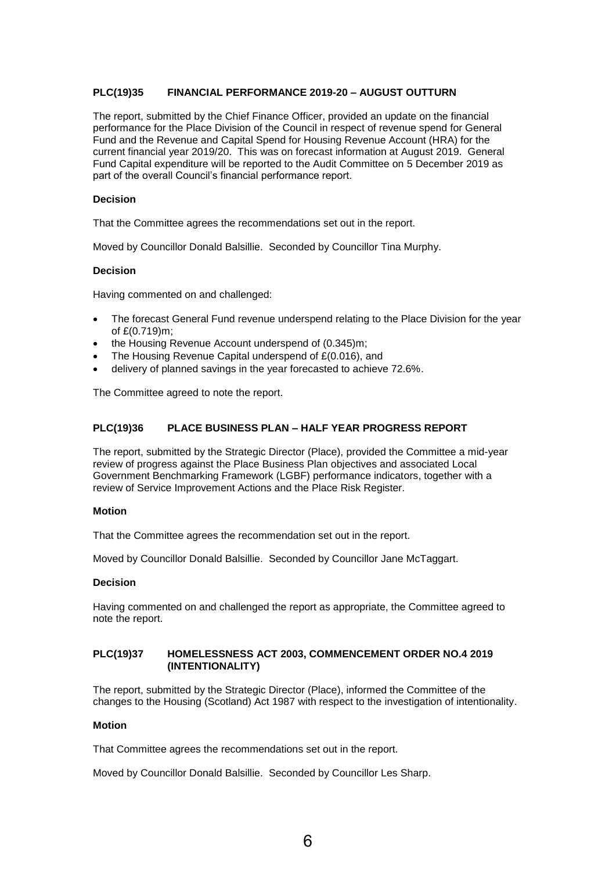## **PLC(19)35 FINANCIAL PERFORMANCE 2019-20 – AUGUST OUTTURN**

The report, submitted by the Chief Finance Officer, provided an update on the financial performance for the Place Division of the Council in respect of revenue spend for General Fund and the Revenue and Capital Spend for Housing Revenue Account (HRA) for the current financial year 2019/20. This was on forecast information at August 2019. General Fund Capital expenditure will be reported to the Audit Committee on 5 December 2019 as part of the overall Council's financial performance report.

## **Decision**

That the Committee agrees the recommendations set out in the report.

Moved by Councillor Donald Balsillie. Seconded by Councillor Tina Murphy.

## **Decision**

Having commented on and challenged:

- The forecast General Fund revenue underspend relating to the Place Division for the year of £(0.719)m;
- the Housing Revenue Account underspend of (0.345)m;
- The Housing Revenue Capital underspend of £(0.016), and
- delivery of planned savings in the year forecasted to achieve 72.6%.

The Committee agreed to note the report.

## **PLC(19)36 PLACE BUSINESS PLAN – HALF YEAR PROGRESS REPORT**

The report, submitted by the Strategic Director (Place), provided the Committee a mid-year review of progress against the Place Business Plan objectives and associated Local Government Benchmarking Framework (LGBF) performance indicators, together with a review of Service Improvement Actions and the Place Risk Register.

#### **Motion**

That the Committee agrees the recommendation set out in the report.

Moved by Councillor Donald Balsillie. Seconded by Councillor Jane McTaggart.

## **Decision**

Having commented on and challenged the report as appropriate, the Committee agreed to note the report.

## **PLC(19)37 HOMELESSNESS ACT 2003, COMMENCEMENT ORDER NO.4 2019 (INTENTIONALITY)**

The report, submitted by the Strategic Director (Place), informed the Committee of the changes to the Housing (Scotland) Act 1987 with respect to the investigation of intentionality.

#### **Motion**

That Committee agrees the recommendations set out in the report.

Moved by Councillor Donald Balsillie. Seconded by Councillor Les Sharp.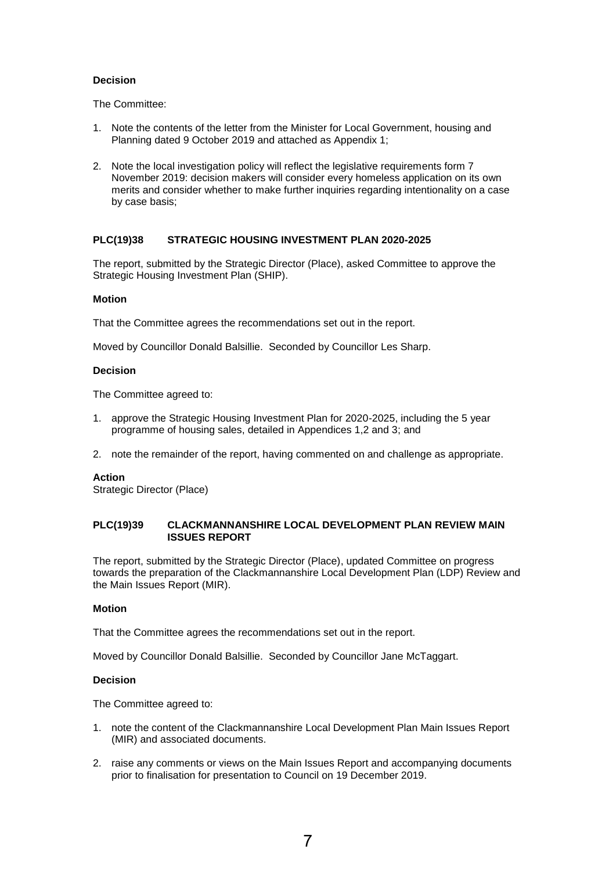## **Decision**

The Committee:

- 1. Note the contents of the letter from the Minister for Local Government, housing and Planning dated 9 October 2019 and attached as Appendix 1;
- 2. Note the local investigation policy will reflect the legislative requirements form 7 November 2019: decision makers will consider every homeless application on its own merits and consider whether to make further inquiries regarding intentionality on a case by case basis;

## **PLC(19)38 STRATEGIC HOUSING INVESTMENT PLAN 2020-2025**

The report, submitted by the Strategic Director (Place), asked Committee to approve the Strategic Housing Investment Plan (SHIP).

## **Motion**

That the Committee agrees the recommendations set out in the report.

Moved by Councillor Donald Balsillie. Seconded by Councillor Les Sharp.

## **Decision**

The Committee agreed to:

- 1. approve the Strategic Housing Investment Plan for 2020-2025, including the 5 year programme of housing sales, detailed in Appendices 1,2 and 3; and
- 2. note the remainder of the report, having commented on and challenge as appropriate.

## **Action**

Strategic Director (Place)

## **PLC(19)39 CLACKMANNANSHIRE LOCAL DEVELOPMENT PLAN REVIEW MAIN ISSUES REPORT**

The report, submitted by the Strategic Director (Place), updated Committee on progress towards the preparation of the Clackmannanshire Local Development Plan (LDP) Review and the Main Issues Report (MIR).

## **Motion**

That the Committee agrees the recommendations set out in the report.

Moved by Councillor Donald Balsillie. Seconded by Councillor Jane McTaggart.

## **Decision**

The Committee agreed to:

- 1. note the content of the Clackmannanshire Local Development Plan Main Issues Report (MIR) and associated documents.
- 2. raise any comments or views on the Main Issues Report and accompanying documents prior to finalisation for presentation to Council on 19 December 2019.